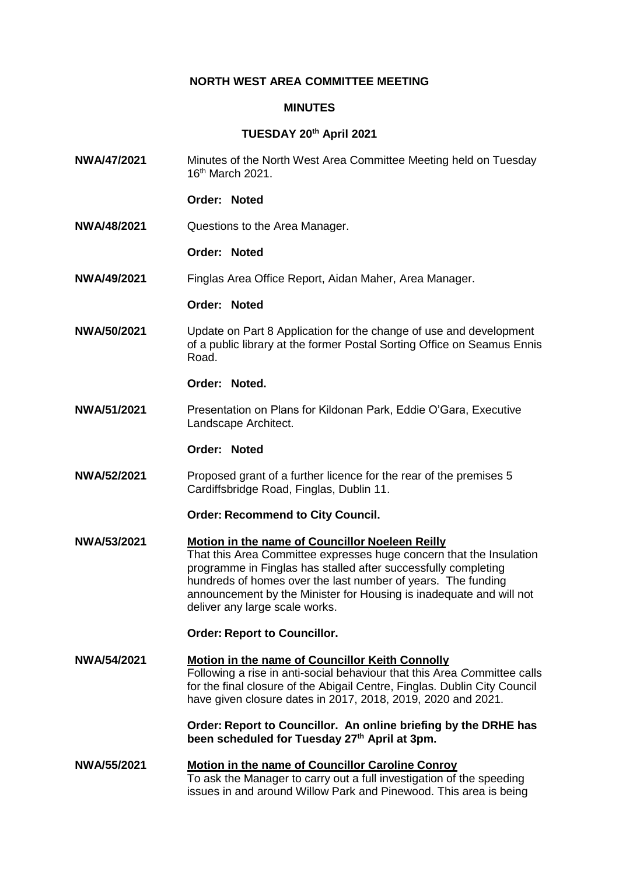# **NORTH WEST AREA COMMITTEE MEETING**

#### **MINUTES**

## **TUESDAY 20th April 2021**

- **NWA/47/2021** Minutes of the North West Area Committee Meeting held on Tuesday 16th March 2021.
	- **Order: Noted**
- **NWA/48/2021** Questions to the Area Manager.

#### **Order: Noted**

**NWA/49/2021** Finglas Area Office Report, Aidan Maher, Area Manager.

## **Order: Noted**

**NWA/50/2021** Update on Part 8 Application for the change of use and development of a public library at the former Postal Sorting Office on Seamus Ennis Road.

## **Order: Noted.**

**NWA/51/2021** Presentation on Plans for Kildonan Park, Eddie O'Gara, Executive Landscape Architect.

# **Order: Noted**

**NWA/52/2021** Proposed grant of a further licence for the rear of the premises 5 Cardiffsbridge Road, Finglas, Dublin 11.

#### **Order: Recommend to City Council.**

**NWA/53/2021 Motion in the name of Councillor Noeleen Reilly** That this Area Committee expresses huge concern that the Insulation programme in Finglas has stalled after successfully completing hundreds of homes over the last number of years. The funding announcement by the Minister for Housing is inadequate and will not deliver any large scale works.

## **Order: Report to Councillor.**

**NWA/54/2021 Motion in the name of Councillor Keith Connolly** Following a rise in anti-social behaviour that this Area *Co*mmittee calls for the final closure of the Abigail Centre, Finglas. Dublin City Council have given closure dates in 2017, 2018, 2019, 2020 and 2021.

> **Order: Report to Councillor. An online briefing by the DRHE has been scheduled for Tuesday 27th April at 3pm.**

**NWA/55/2021 Motion in the name of Councillor Caroline Conroy** To ask the Manager to carry out a full investigation of the speeding issues in and around Willow Park and Pinewood. This area is being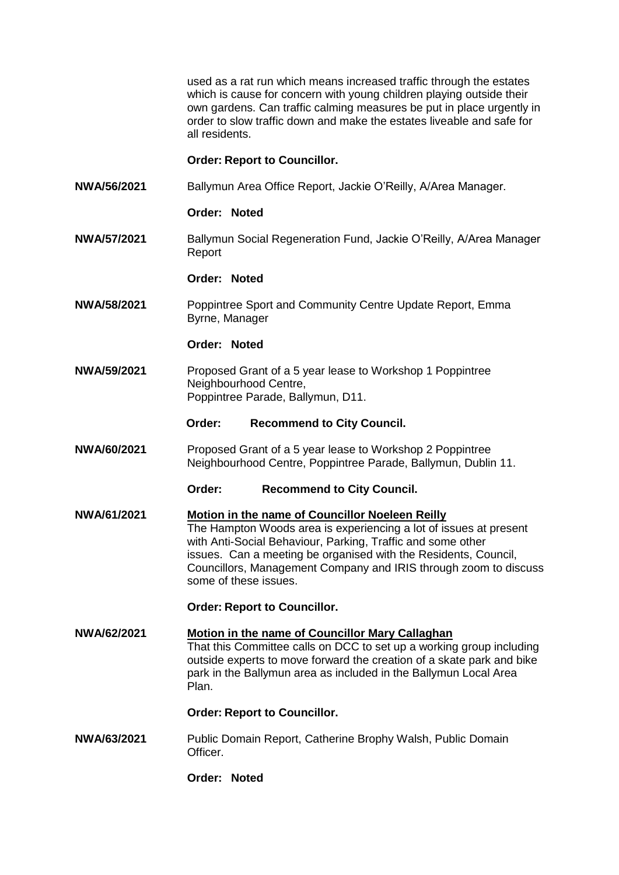used as a rat run which means increased traffic through the estates which is cause for concern with young children playing outside their own gardens. Can traffic calming measures be put in place urgently in order to slow traffic down and make the estates liveable and safe for all residents.

# **Order: Report to Councillor.**

**NWA/56/2021** Ballymun Area Office Report, Jackie O'Reilly, A/Area Manager.

### **Order: Noted**

**NWA/57/2021** Ballymun Social Regeneration Fund, Jackie O'Reilly, A/Area Manager Report

## **Order: Noted**

**NWA/58/2021** Poppintree Sport and Community Centre Update Report, Emma Byrne, Manager

#### **Order: Noted**

- **NWA/59/2021** Proposed Grant of a 5 year lease to Workshop 1 Poppintree Neighbourhood Centre, Poppintree Parade, Ballymun, D11.
	- **Order: Recommend to City Council.**
- **NWA/60/2021** Proposed Grant of a 5 year lease to Workshop 2 Poppintree Neighbourhood Centre, Poppintree Parade, Ballymun, Dublin 11.

**Order: Recommend to City Council.**

**NWA/61/2021 Motion in the name of Councillor Noeleen Reilly** The Hampton Woods area is experiencing a lot of issues at present with Anti-Social Behaviour, Parking, Traffic and some other issues. Can a meeting be organised with the Residents, Council, Councillors, Management Company and IRIS through zoom to discuss some of these issues.

## **Order: Report to Councillor.**

**NWA/62/2021 Motion in the name of Councillor Mary Callaghan**  That this Committee calls on DCC to set up a working group including outside experts to move forward the creation of a skate park and bike park in the Ballymun area as included in the Ballymun Local Area Plan.

## **Order: Report to Councillor.**

- **NWA/63/2021** Public Domain Report, Catherine Brophy Walsh, Public Domain Officer.
	- **Order: Noted**